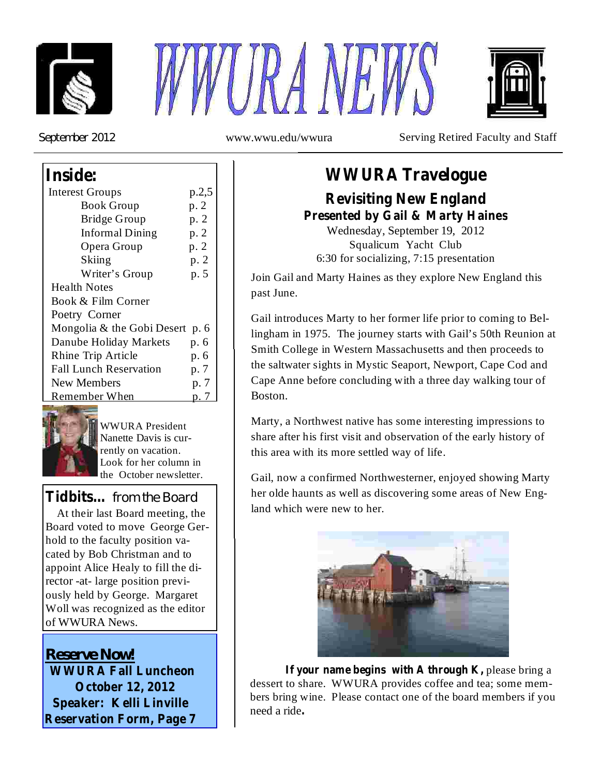





*September 2012*

www.wwu.edu/wwura Serving Retired Faculty and Staff

### **Inside:**

| <b>Interest Groups</b>            | p.2,5 |  |
|-----------------------------------|-------|--|
| <b>Book Group</b>                 | p. 2  |  |
| <b>Bridge Group</b>               | p. 2  |  |
| <b>Informal Dining</b>            | p. 2  |  |
| Opera Group                       | p. 2  |  |
| Skiing                            | p. 2  |  |
| Writer's Group                    | p. 5  |  |
| <b>Health Notes</b>               |       |  |
| Book & Film Corner                |       |  |
| Poetry Corner                     |       |  |
| Mongolia & the Gobi Desert<br>p.6 |       |  |
| Danube Holiday Markets            | p. 6  |  |
| Rhine Trip Article                | p. 6  |  |
| <b>Fall Lunch Reservation</b>     | p. 7  |  |
| New Members                       | p. 7  |  |
| Remember When                     |       |  |



WWURA President Nanette Davis is currently on vacation. Look for her column in the October newsletter.

*from the Board* **Tidbits…** At their last Board meeting, the  $\parallel \parallel$  land which were new to her. Board voted to move George Gerhold to the faculty position vacated by Bob Christman and to appoint Alice Healy to fill the director -at- large position previously held by George. Margaret Woll was recognized as the editor of WWURA News.

**WWURA Fall Luncheon October 12, 2012 Speaker: Kelli Linville Reservation Form, Page 7** *Reserve Now!*

## **WWURA Travelogue**

**Revisiting New England Presented by Gail & Marty Haines**

Wednesday, September 19, 2012 Squalicum Yacht Club 6:30 for socializing, 7:15 presentation

Join Gail and Marty Haines as they explore New England this past June.

Gail introduces Marty to her former life prior to coming to Bellingham in 1975. The journey starts with Gail's 50th Reunion at Smith College in Western Massachusetts and then proceeds to the saltwater sights in Mystic Seaport, Newport, Cape Cod and Cape Anne before concluding with a three day walking tour of Boston.

Marty, a Northwest native has some interesting impressions to share after his first visit and observation of the early history of this area with its more settled way of life.

Gail, now a confirmed Northwesterner, enjoyed showing Marty her olde haunts as well as discovering some areas of New Eng-



**If** your name begins with A through  $K$ , please bring a dessert to share. WWURA provides coffee and tea; some members bring wine. Please contact one of the board members if you need a ride **.**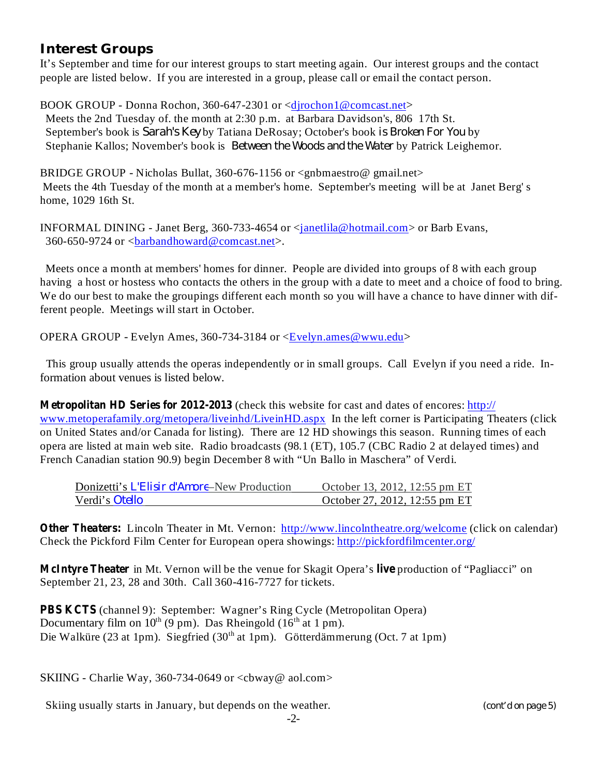#### **Interest Groups**

It's September and time for our interest groups to start meeting again. Our interest groups and the contact people are listed below. If you are interested in a group, please call or email the contact person.

BOOK GROUP - Donna Rochon, 360-647-2301 or <djrochon1@comcast.net> Meets the 2nd Tuesday of. the month at 2:30 p.m. at Barbara Davidson's, 806 17th St. September's book is Sarah's Key by Tatiana DeRosay; October's book is Broken For You by Stephanie Kallos; November's book is *Between the Woods and the Water* by Patrick Leighemor.

BRIDGE GROUP - Nicholas Bullat, 360-676-1156 or <gnbmaestro@ gmail.net> Meets the 4th Tuesday of the month at a member's home. September's meeting will be at Janet Berg' s home, 1029 16th St.

INFORMAL DINING - Janet Berg, 360-733-4654 or <janetlila@hotmail.com> or Barb Evans, 360-650-9724 or  $\langle$ barbandhoward@comcast.net $\rangle$ .

Meets once a month at members' homes for dinner. People are divided into groups of 8 with each group having a host or hostess who contacts the others in the group with a date to meet and a choice of food to bring. We do our best to make the groupings different each month so you will have a chance to have dinner with different people. Meetings will start in October.

OPERA GROUP - Evelyn Ames, 360-734-3184 or <Evelyn.ames@wwu.edu>

This group usually attends the operas independently or in small groups. Call Evelyn if you need a ride. Information about venues is listed below.

**Metropolitan HD Series for 2012-2013** (check this website for cast and dates of encores: http:// www.metoperafamily.org/metopera/liveinhd/LiveinHD.aspx In the left corner is Participating Theaters (click on United States and/or Canada for listing). There are 12 HD showings this season. Running times of each opera are listed at main web site. Radio broadcasts (98.1 (ET), 105.7 (CBC Radio 2 at delayed times) and French Canadian station 90.9) begin December 8 with "Un Ballo in Maschera" of Verdi.

| Donizetti's <i>L'Elisir d'Amore</i> –New Production | October 13, 2012, 12:55 pm ET |
|-----------------------------------------------------|-------------------------------|
| Verdi's <i>Otello</i>                               | October 27, 2012, 12:55 pm ET |

Other Theaters: Lincoln Theater in Mt. Vernon: http://www.lincolntheatre.org/welcome (click on calendar) Check the Pickford Film Center for European opera showings: http://pickfordfilmcenter.org/

**McIntyre Theater** in Mt. Vernon will be the venue for Skagit Opera's live production of "Pagliacci" on September 21, 23, 28 and 30th. Call 360-416-7727 for tickets.

(channel 9): September: Wagner's Ring Cycle (Metropolitan Opera) **PBS KCTS**Documentary film on  $10^{th}$  (9 pm). Das Rheingold (16<sup>th</sup> at 1 pm). Die Walküre (23 at 1pm). Siegfried (30<sup>th</sup> at 1pm). Götterdämmerung (Oct. 7 at 1pm)

SKIING - Charlie Way, 360-734-0649 or  $\langle$ cbway@ aol.com>

Skiing usually starts in January, but depends on the weather.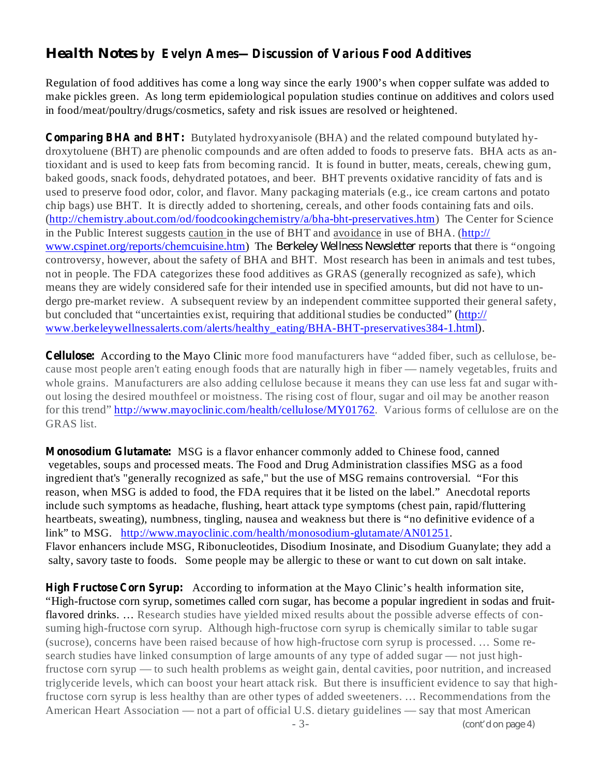#### *Health Notes* **by Evelyn Ames—Discussion of Various Food Additives**

Regulation of food additives has come a long way since the early 1900's when copper sulfate was added to make pickles green. As long term epidemiological population studies continue on additives and colors used in food/meat/poultry/drugs/cosmetics, safety and risk issues are resolved or heightened.

**Comparing BHA and BHT:** Butylated hydroxyanisole (BHA) and the related compound butylated hydroxytoluene (BHT) are phenolic compounds and are often added to foods to preserve fats. BHA acts as antioxidant and is used to keep fats from becoming rancid. It is found in butter, meats, cereals, chewing gum, baked goods, snack foods, dehydrated potatoes, and beer. BHT prevents oxidative rancidity of fats and is used to preserve food odor, color, and flavor. Many packaging materials (e.g., ice cream cartons and potato chip bags) use BHT. It is directly added to shortening, cereals, and other foods containing fats and oils. (http://chemistry.about.com/od/foodcookingchemistry/a/bha-bht-preservatives.htm) The Center for Science in the Public Interest suggests caution in the use of BHT and avoidance in use of BHA. (http:// www.cspinet.org/reports/chemcuisine.htm) The Berkeley Wellness Newsletter reports that there is "ongoing controversy, however, about the safety of BHA and BHT. Most research has been in animals and test tubes, not in people. The FDA categorizes these food additives as GRAS (generally recognized as safe), which means they are widely considered safe for their intended use in specified amounts, but did not have to undergo pre-market review. A subsequent review by an independent committee supported their general safety, but concluded that "uncertainties exist, requiring that additional studies be conducted" (http:// www.berkeleywellnessalerts.com/alerts/healthy\_eating/BHA-BHT-preservatives384-1.html).

**Cellulose:** According to the Mayo Clinic more food manufacturers have "added fiber, such as cellulose, because most people aren't eating enough foods that are naturally high in fiber — namely vegetables, fruits and whole grains. Manufacturers are also adding cellulose because it means they can use less fat and sugar without losing the desired mouthfeel or moistness. The rising cost of flour, sugar and oil may be another reason for this trend" http://www.mayoclinic.com/health/cellulose/MY01762. Various forms of cellulose are on the GRAS list.

Monosodium Glutamate: MSG is a flavor enhancer commonly added to Chinese food, canned vegetables, soups and processed meats. The Food and Drug Administration classifies MSG as a food ingredient that's "generally recognized as safe," but the use of MSG remains controversial. "For this reason, when MSG is added to food, the FDA requires that it be listed on the label." Anecdotal reports include such symptoms as headache, flushing, heart attack type symptoms (chest pain, rapid/fluttering heartbeats, sweating), numbness, tingling, nausea and weakness but there is "no definitive evidence of a link" to MSG. http://www.mayoclinic.com/health/monosodium-glutamate/AN01251. Flavor enhancers include MSG, Ribonucleotides, Disodium Inosinate, and Disodium Guanylate; they add a salty, savory taste to foods. Some people may be allergic to these or want to cut down on salt intake.

**High Fructose Corn Syrup:** According to information at the Mayo Clinic's health information site, "High-fructose corn syrup, sometimes called corn sugar, has become a popular ingredient in sodas and fruitflavored drinks. ... Research studies have yielded mixed results about the possible adverse effects of consuming high-fructose corn syrup. Although high-fructose corn syrup is chemically similar to table sugar (sucrose), concerns have been raised because of how high-fructose corn syrup is processed. … Some research studies have linked consumption of large amounts of any type of added sugar — not just highfructose corn syrup — to such health problems as weight gain, dental cavities, poor nutrition, and increased triglyceride levels, which can boost your heart attack risk. But there is insufficient evidence to say that highfructose corn syrup is less healthy than are other types of added sweeteners. … Recommendations from the American Heart Association — not a part of official U.S. dietary guidelines — say that most American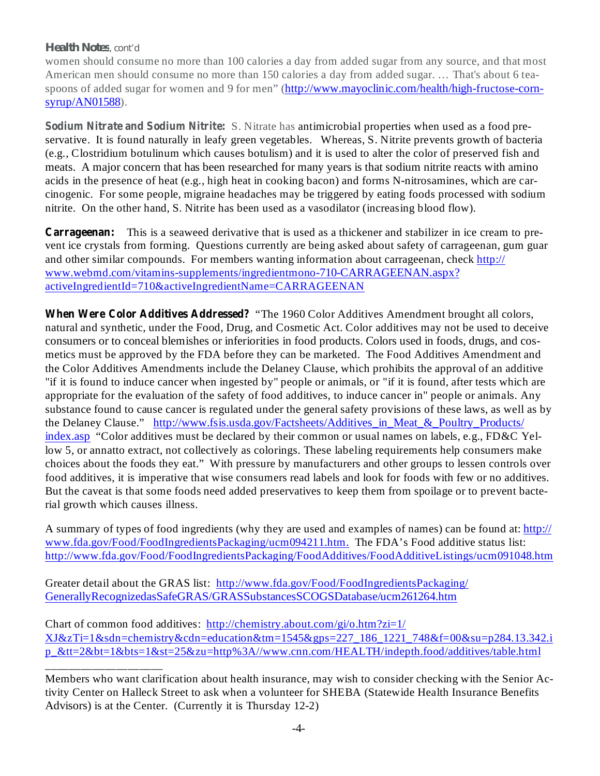#### *Health Notes, cont'd*

\_\_\_\_\_\_\_\_\_\_\_\_\_\_\_\_\_\_\_\_

women should consume no more than 100 calories a day from added sugar from any source, and that most American men should consume no more than 150 calories a day from added sugar. … That's about 6 teaspoons of added sugar for women and 9 for men" (http://www.mayoclinic.com/health/high-fructose-cornsyrup/AN01588).

**Sodium Nitrate and Sodium Nitrite:** S. Nitrate has antimicrobial properties when used as a food preservative. It is found naturally in leafy green vegetables. Whereas, S. Nitrite prevents growth of bacteria (e.g., Clostridium botulinum which causes botulism) and it is used to alter the color of preserved fish and meats. A major concern that has been researched for many years is that sodium nitrite reacts with amino acids in the presence of heat (e.g., high heat in cooking bacon) and forms N-nitrosamines, which are carcinogenic. For some people, migraine headaches may be triggered by eating foods processed with sodium nitrite. On the other hand, S. Nitrite has been used as a vasodilator (increasing blood flow).

**Carrageenan:** This is a seaweed derivative that is used as a thickener and stabilizer in ice cream to prevent ice crystals from forming. Questions currently are being asked about safety of carrageenan, gum guar and other similar compounds. For members wanting information about carrageenan, check http:// www.webmd.com/vitamins-supplements/ingredientmono-710-CARRAGEENAN.aspx? activeIngredientId=710&activeIngredientName=CARRAGEENAN

When Were Color Additives Addressed? "The 1960 Color Additives Amendment brought all colors, natural and synthetic, under the Food, Drug, and Cosmetic Act. Color additives may not be used to deceive consumers or to conceal blemishes or inferiorities in food products. Colors used in foods, drugs, and cosmetics must be approved by the FDA before they can be marketed. The Food Additives Amendment and the Color Additives Amendments include the Delaney Clause, which prohibits the approval of an additive "if it is found to induce cancer when ingested by" people or animals, or "if it is found, after tests which are appropriate for the evaluation of the safety of food additives, to induce cancer in" people or animals. Any substance found to cause cancer is regulated under the general safety provisions of these laws, as well as by the Delaney Clause." http://www.fsis.usda.gov/Factsheets/Additives\_in\_Meat\_&\_Poultry\_Products/ index.asp "Color additives must be declared by their common or usual names on labels, e.g., FD&C Yellow 5, or annatto extract, not collectively as colorings. These labeling requirements help consumers make choices about the foods they eat." With pressure by manufacturers and other groups to lessen controls over food additives, it is imperative that wise consumers read labels and look for foods with few or no additives. But the caveat is that some foods need added preservatives to keep them from spoilage or to prevent bacterial growth which causes illness.

A summary of types of food ingredients (why they are used and examples of names) can be found at: http:// www.fda.gov/Food/FoodIngredientsPackaging/ucm094211.htm. The FDA's Food additive status list: http://www.fda.gov/Food/FoodIngredientsPackaging/FoodAdditives/FoodAdditiveListings/ucm091048.htm

Greater detail about the GRAS list: http://www.fda.gov/Food/FoodIngredientsPackaging/ GenerallyRecognizedasSafeGRAS/GRASSubstancesSCOGSDatabase/ucm261264.htm

Chart of common food additives: http://chemistry.about.com/gi/o.htm?zi=1/  $XJ\&zTi=1\&sdn=chemistry\&cdn=eduction\&tm=1545\&gps=227~186~1221~748\&f=00\&su=p284.13.342.i$ p\_&tt=2&bt=1&bts=1&st=25&zu=http%3A//www.cnn.com/HEALTH/indepth.food/additives/table.html

Members who want clarification about health insurance, may wish to consider checking with the Senior Activity Center on Halleck Street to ask when a volunteer for SHEBA (Statewide Health Insurance Benefits Advisors) is at the Center. (Currently it is Thursday 12-2)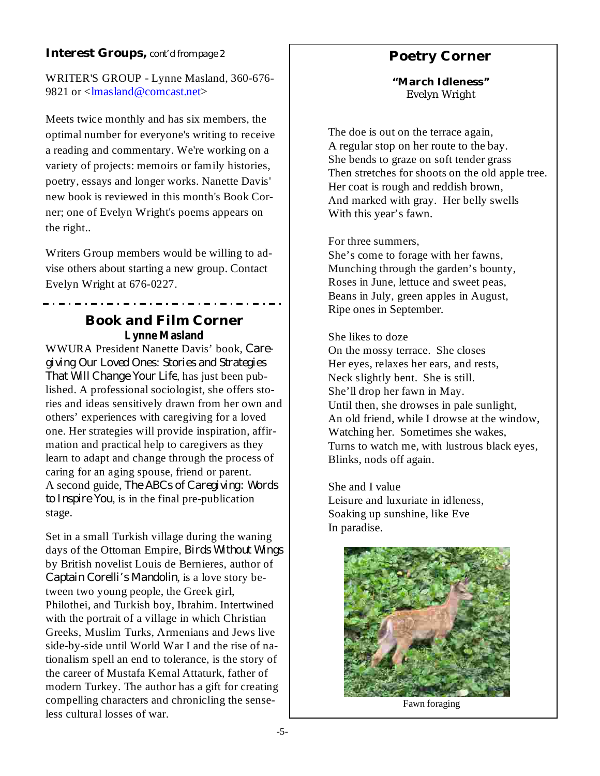WRITER'S GROUP - Lynne Masland, 360-676- 9821 or <lmasland@comcast.net>

Meets twice monthly and has six members, the optimal number for everyone's writing to receive a reading and commentary. We're working on a variety of projects: memoirs or family histories, poetry, essays and longer works. Nanette Davis' new book is reviewed in this month's Book Corner; one of Evelyn Wright's poems appears on the right..

Writers Group members would be willing to advise others about starting a new group. Contact Evelyn Wright at 676-0227.

#### **Book and Film Corner Lynne Masland**

WWURA President Nanette Davis' book, *Care-That Will Change Your Life*, has just been published. A professional sociologist, she offers stories and ideas sensitively drawn from her own and others' experiences with caregiving for a loved one. Her strategies will provide inspiration, affirmation and practical help to caregivers as they learn to adapt and change through the process of caring for an aging spouse, friend or parent. A second guide, *The ABCs of Caregiving: Words* , is in the final pre-publication *to Inspire You* stage. *giving Our Loved Ones: Stories and Strategies*

Set in a small Turkish village during the waning days of the Ottoman Empire, *Birds Without Wings* by British novelist Louis de Bernieres, author of Captain Corelli's Mandolin, is a love story between two young people, the Greek girl, Philothei, and Turkish boy, Ibrahim. Intertwined with the portrait of a village in which Christian Greeks, Muslim Turks, Armenians and Jews live side-by-side until World War I and the rise of nationalism spell an end to tolerance, is the story of the career of Mustafa Kemal Attaturk, father of modern Turkey. The author has a gift for creating compelling characters and chronicling the senseless cultural losses of war.

#### **Poetry Corner**

**"March Idleness"** Evelyn Wright

The doe is out on the terrace again, A regular stop on her route to the bay. She bends to graze on soft tender grass Then stretches for shoots on the old apple tree. Her coat is rough and reddish brown, And marked with gray. Her belly swells With this year's fawn.

#### For three summers,

She's come to forage with her fawns, Munching through the garden's bounty, Roses in June, lettuce and sweet peas, Beans in July, green apples in August, Ripe ones in September.

#### She likes to doze

On the mossy terrace. She closes Her eyes, relaxes her ears, and rests, Neck slightly bent. She is still. She'll drop her fawn in May. Until then, she drowses in pale sunlight, An old friend, while I drowse at the window, Watching her. Sometimes she wakes, Turns to watch me, with lustrous black eyes, Blinks, nods off again.

She and I value Leisure and luxuriate in idleness, Soaking up sunshine, like Eve In paradise.



Fawn foraging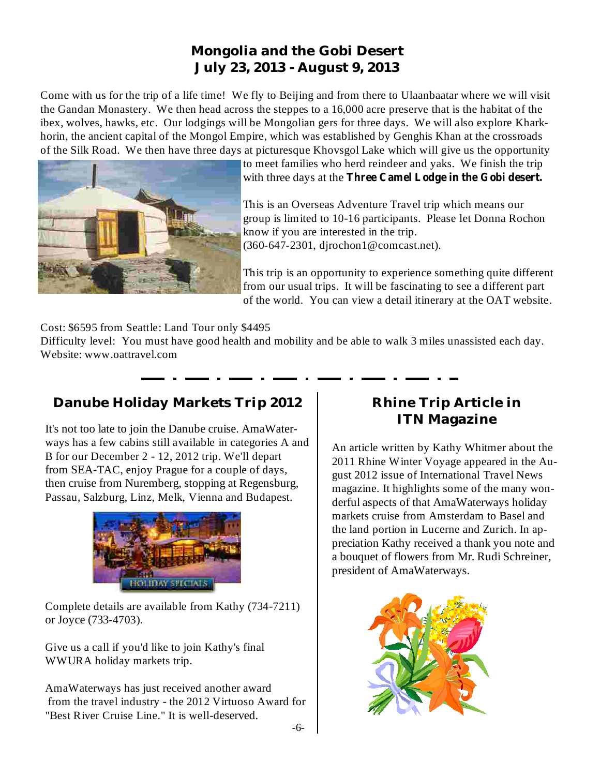#### **Mongolia and the Gobi Desert July 23, 2013 - August 9, 2013**

Come with us for the trip of a life time! We fly to Beijing and from there to Ulaanbaatar where we will visit the Gandan Monastery. We then head across the steppes to a 16,000 acre preserve that is the habitat of the ibex, wolves, hawks, etc. Our lodgings will be Mongolian gers for three days. We will also explore Kharkhorin, the ancient capital of the Mongol Empire, which was established by Genghis Khan at the crossroads of the Silk Road. We then have three days at picturesque Khovsgol Lake which will give us the opportunity



to meet families who herd reindeer and yaks. We finish the trip with three days at the **Three Camel Lodge in the Gobi desert.**

This is an Overseas Adventure Travel trip which means our group is limited to 10-16 participants. Please let Donna Rochon know if you are interested in the trip. (360-647-2301, djrochon1@comcast.net).

This trip is an opportunity to experience something quite different from our usual trips. It will be fascinating to see a different part of the world. You can view a detail itinerary at the OAT website.

Cost: \$6595 from Seattle: Land Tour only \$4495

Difficulty level: You must have good health and mobility and be able to walk 3 miles unassisted each day. Website: www.oattravel.com

#### **Danube Holiday Markets Trip 2012 Rhine Trip Article in**

It's not too late to join the Danube cruise. AmaWaterways has a few cabins still available in categories A and B for our December 2 - 12, 2012 trip. We'll depart from SEA-TAC, enjoy Prague for a couple of days, then cruise from Nuremberg, stopping at Regensburg, Passau, Salzburg, Linz, Melk, Vienna and Budapest.



Complete details are available from Kathy (734-7211) or Joyce (733-4703).

Give us a call if you'd like to join Kathy's final WWURA holiday markets trip.

AmaWaterways has just received another award from the travel industry - the 2012 Virtuoso Award for "Best River Cruise Line." It is well-deserved.

# **ITN Magazine**

An article written by Kathy Whitmer about the 2011 Rhine Winter Voyage appeared in the August 2012 issue of International Travel News magazine. It highlights some of the many wonderful aspects of that AmaWaterways holiday markets cruise from Amsterdam to Basel and the land portion in Lucerne and Zurich. In appreciation Kathy received a thank you note and a bouquet of flowers from Mr. Rudi Schreiner, president of AmaWaterways.

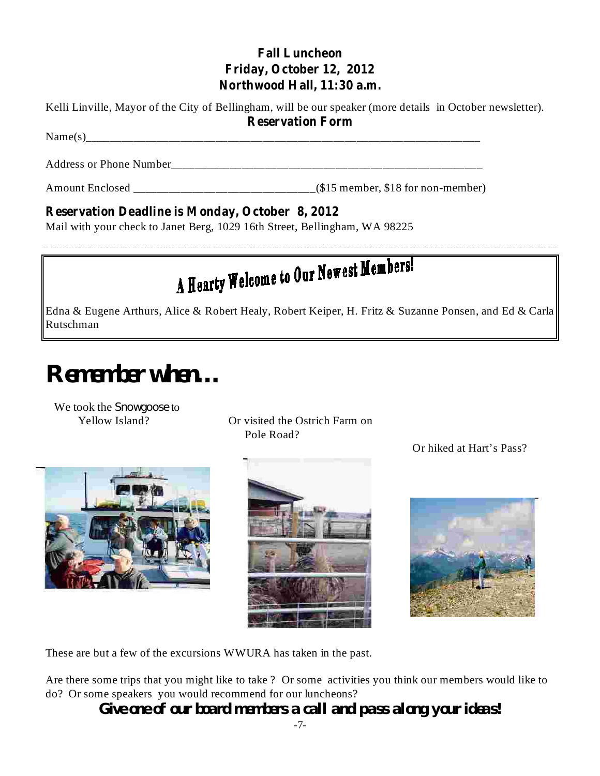#### **Fall Luncheon Friday, October 12, 2012 Northwood Hall, 11:30 a.m.**

Kelli Linville, Mayor of the City of Bellingham, will be our speaker (more details in October newsletter).

**Reservation Form**

Address or Phone Number

Amount Enclosed \_\_\_\_\_\_\_\_\_\_\_\_\_\_\_\_\_\_\_\_\_\_\_\_\_\_\_\_\_\_\_(\$15 member, \$18 for non-member)

#### **Reservation Deadline is Monday, October 8, 2012**

Name(s)\_\_\_\_\_\_\_\_\_\_\_\_\_\_\_\_\_\_\_\_\_\_\_\_\_\_\_\_\_\_\_\_\_\_\_\_\_\_\_\_\_\_\_\_\_\_\_\_\_\_\_\_\_\_\_\_\_\_\_\_\_\_\_\_\_\_\_

Mail with your check to Janet Berg, 1029 16th Street, Bellingham, WA 98225

# A Hearty Welcome to Our Newest Members!

Edna & Eugene Arthurs, Alice & Robert Healy, Robert Keiper, H. Fritz & Suzanne Ponsen, and Ed & Carla Rutschman

# **Remember when…**

We took the *Snowgoose* to

Yellow Island? Or visited the Ostrich Farm on Pole Road?







Or hiked at Hart's Pass?

These are but a few of the excursions WWURA has taken in the past.

Are there some trips that you might like to take ? Or some activities you think our members would like to do? Or some speakers you would recommend for our luncheons?

**Give one of our board members a call and pass along your ideas!**